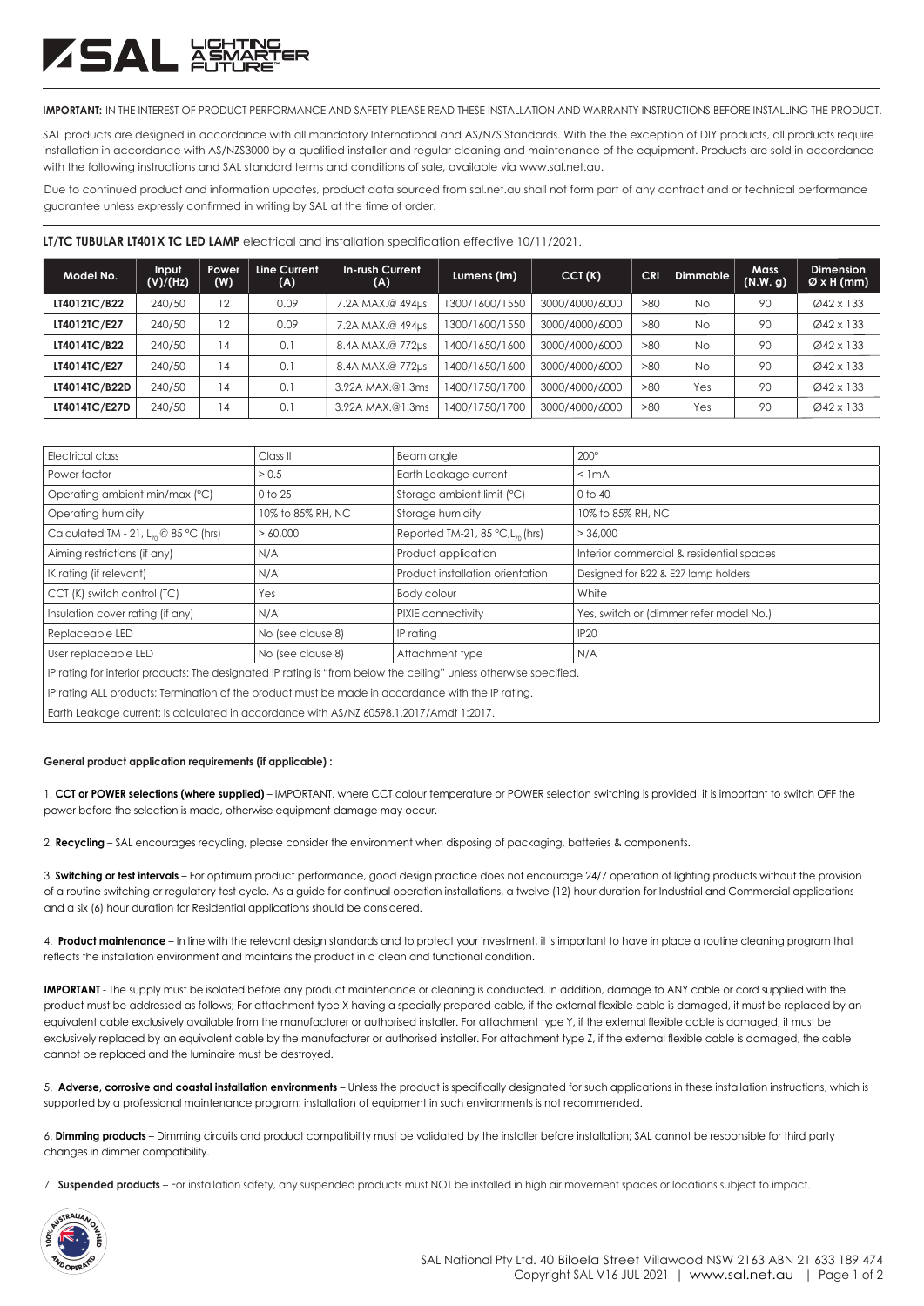## ZSAL Ä

**IMPORTANT:** IN THE INTEREST OF PRODUCT PERFORMANCE AND SAFETY PLEASE READ THESE INSTALLATION AND WARRANTY INSTRUCTIONS BEFORE INSTALLING THE PRODUCT.

SAL products are designed in accordance with all mandatory International and AS/NZS Standards. With the the exception of DIY products, all products require installation in accordance with AS/NZS3000 by a qualified installer and regular cleaning and maintenance of the equipment. Products are sold in accordance with the following instructions and SAL standard terms and conditions of sale, available via www.sal.net.au.

Due to continued product and information updates, product data sourced from sal.net.au shall not form part of any contract and or technical performance guarantee unless expressly confirmed in writing by SAL at the time of order.

|  | LT/TC TUBULAR LT401X TC LED LAMP electrical and installation specification effective 10/11/2021. |  |
|--|--------------------------------------------------------------------------------------------------|--|
|--|--------------------------------------------------------------------------------------------------|--|

| Model No.           | Input<br>(V)/(Hz) | <b>Power</b><br>(W) | Line Current<br>(A) | In-rush Current<br>(A) | Lumens (Im)    | CCT(K)         | <b>CRI</b> | <b>Dimmable</b> | <b>Mass</b><br>(N.W. g) | <b>Dimension</b><br>$\varnothing$ x H (mm) |
|---------------------|-------------------|---------------------|---------------------|------------------------|----------------|----------------|------------|-----------------|-------------------------|--------------------------------------------|
| <b>LT4012TC/B22</b> | 240/50            | 12                  | 0.09                | 7.2A MAX.@ 494µs       | 1300/1600/1550 | 3000/4000/6000 | >80        | <b>No</b>       | 90                      | Ø42 x 133                                  |
| LT4012TC/E27        | 240/50            | 12                  | 0.09                | 7.2A MAX.@ 494us       | 1300/1600/1550 | 3000/4000/6000 | >80        | <b>No</b>       | 90                      | Ø42 x 133                                  |
| LT4014TC/B22        | 240/50            | 14                  | 0.1                 | 8.4A MAX.@ 772us       | 1400/1650/1600 | 3000/4000/6000 | >80        | <b>No</b>       | 90                      | Ø42 x 133                                  |
| LT4014TC/E27        | 240/50            | 14                  | 0.1                 | 8.4A MAX.@ 772us       | 1400/1650/1600 | 3000/4000/6000 | >80        | <b>No</b>       | 90                      | Ø42 x 133                                  |
| LT4014TC/B22D       | 240/50            | 14                  | 0.1                 | 3.92A MAX.@1.3ms       | 1400/1750/1700 | 3000/4000/6000 | >80        | Yes             | 90                      | Ø42 x 133                                  |
| LT4014TC/E27D       | 240/50            | 14                  | 0.1                 | 3.92A MAX.@1.3ms       | 1400/1750/1700 | 3000/4000/6000 | >80        | Yes             | 90                      | Ø42 x 133                                  |

| Electrical class                                                                                                  | Class <sub>II</sub> | Beam angle                                      | $200^\circ$                              |  |  |
|-------------------------------------------------------------------------------------------------------------------|---------------------|-------------------------------------------------|------------------------------------------|--|--|
| Power factor                                                                                                      | > 0.5               | Earth Leakage current                           | $<$ 1 mA                                 |  |  |
| Operating ambient min/max (°C)                                                                                    | 0 to 25             | Storage ambient limit (°C)                      | $0$ to $40$                              |  |  |
| Operating humidity                                                                                                | 10% to 85% RH, NC   | Storage humidity                                | 10% to 85% RH, NC                        |  |  |
| Calculated TM - 21, $L_n \otimes 85$ °C (hrs)                                                                     | >60.000             | Reported TM-21, 85 $°C$ , L <sub>70</sub> (hrs) | > 36,000                                 |  |  |
| Aiming restrictions (if any)                                                                                      | N/A                 | Product application                             | Interior commercial & residential spaces |  |  |
| IK rating (if relevant)                                                                                           | N/A                 | Product installation orientation                | Designed for B22 & E27 lamp holders      |  |  |
| CCT (K) switch control (TC)                                                                                       | Yes                 | Body colour                                     | White                                    |  |  |
| Insulation cover rating (if any)                                                                                  | N/A                 | PIXIE connectivity                              | Yes, switch or (dimmer refer model No.)  |  |  |
| Replaceable LED                                                                                                   | No (see clause 8)   | IP rating                                       | IP <sub>20</sub>                         |  |  |
| User replaceable LED                                                                                              | No (see clause 8)   | Attachment type                                 | N/A                                      |  |  |
| IP rating for interior products: The designated IP rating is "from below the ceiling" unless otherwise specified. |                     |                                                 |                                          |  |  |
| IP rating ALL products; Termination of the product must be made in accordance with the IP rating.                 |                     |                                                 |                                          |  |  |
| Earth Leakage current: Is calculated in accordance with AS/NZ 60598.1.2017/Amdt 1:2017.                           |                     |                                                 |                                          |  |  |

## **General product application requirements (if applicable) :**

1. **CCT or POWER selections (where supplied)** – IMPORTANT, where CCT colour temperature or POWER selection switching is provided, it is important to switch OFF the power before the selection is made, otherwise equipment damage may occur.

2. **Recycling** – SAL encourages recycling, please consider the environment when disposing of packaging, batteries & components.

3. **Switching or test intervals** – For optimum product performance, good design practice does not encourage 24/7 operation of lighting products without the provision of a routine switching or regulatory test cycle. As a guide for continual operation installations, a twelve (12) hour duration for Industrial and Commercial applications and a six (6) hour duration for Residential applications should be considered.

4. **Product maintenance** – In line with the relevant design standards and to protect your investment, it is important to have in place a routine cleaning program that reflects the installation environment and maintains the product in a clean and functional condition.

**IMPORTANT** - The supply must be isolated before any product maintenance or cleaning is conducted. In addition, damage to ANY cable or cord supplied with the product must be addressed as follows; For attachment type X having a specially prepared cable, if the external flexible cable is damaged, it must be replaced by an equivalent cable exclusively available from the manufacturer or authorised installer. For attachment type Y, if the external flexible cable is damaged, it must be exclusively replaced by an equivalent cable by the manufacturer or authorised installer. For attachment type Z, if the external flexible cable is damaged, the cable cannot be replaced and the luminaire must be destroyed.

5. **Adverse, corrosive and coastal installation environments** – Unless the product is specifically designated for such applications in these installation instructions, which is supported by a professional maintenance program; installation of equipment in such environments is not recommended.

6. **Dimming products** – Dimming circuits and product compatibility must be validated by the installer before installation; SAL cannot be responsible for third party changes in dimmer compatibility.

7. **Suspended products** – For installation safety, any suspended products must NOT be installed in high air movement spaces or locations subject to impact.